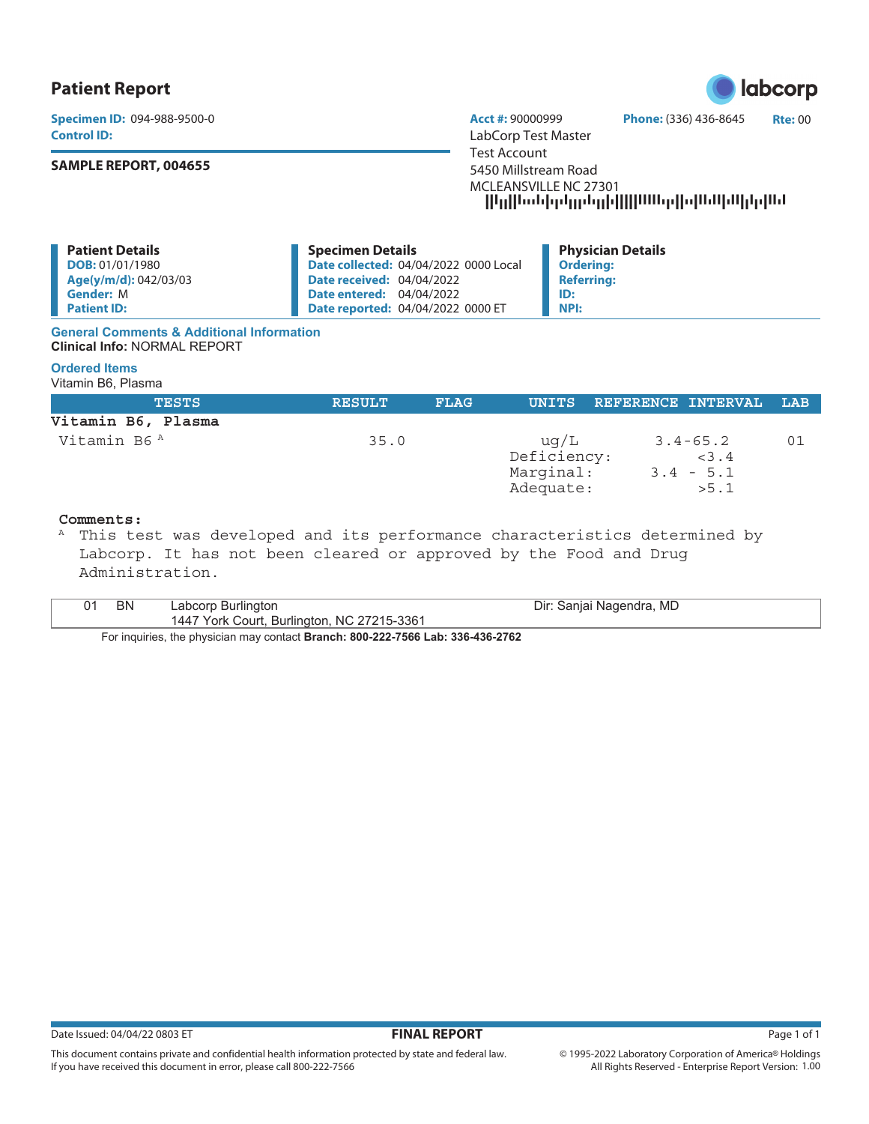## **Patient Report**

**Control ID:** LabCorp Test Master

### **SAMPLE REPORT, 004655**

**Specimen ID:** 094-988-9500-0 **Acct #:** 90000999 **Phone:** (336) 436-8645 **Rte:** 00 Test Account 5450 Millstream Road MCLEANSVILLE NC 27301 --------------------

| <b>Patient Details</b> | <b>Specimen Details</b>                      | <b>Physician Details</b> |
|------------------------|----------------------------------------------|--------------------------|
| <b>DOB:</b> 01/01/1980 | <b>Date collected: 04/04/2022 0000 Local</b> | <b>Ordering:</b>         |
| Age(y/m/d): 042/03/03  | <b>Date received: 04/04/2022</b>             | <b>Referring:</b>        |
| <b>Gender: M</b>       | <b>Date entered: 04/04/2022</b>              | ID:                      |
| <b>Patient ID:</b>     | <b>Date reported: 04/04/2022 0000 ET</b>     | <b>NPI:</b>              |

#### **General Comments & Additional Information Clinical Info:** NORMAL REPORT

### **Ordered Items**

Vitamin B6, Plasma

| <b>TESTS</b>       | <b>RESULT</b> | <b>FLAG</b> |                                               | UNITS REFERENCE INTERVAL                     | LAB |
|--------------------|---------------|-------------|-----------------------------------------------|----------------------------------------------|-----|
| Vitamin B6, Plasma |               |             |                                               |                                              |     |
| Vitamin B6 A       | 35.0          |             | uq/L<br>Deficiency:<br>Marginal:<br>Adequate: | $3.4 - 65.2$<br>< 3.4<br>$3.4 - 5.1$<br>>5.1 | 01  |

# **Comments:**

This test was developed and its performance characteristics determined by Labcorp. It has not been cleared or approved by the Food and Drug Administration.

| ΒN | Labcorp Burlington                         | Dir: Sanjai Nagendra, MD |
|----|--------------------------------------------|--------------------------|
|    | 1447 York Court, Burlington, NC 27215-3361 |                          |
|    | $\overline{\phantom{a}}$                   |                          |

For inquiries, the physician may contact **Branch: 800-222-7566 Lab: 336-436-2762**

If you have received this document in error, please call 800-222-7566



This document contains private and confidential health information protected by state and federal law.